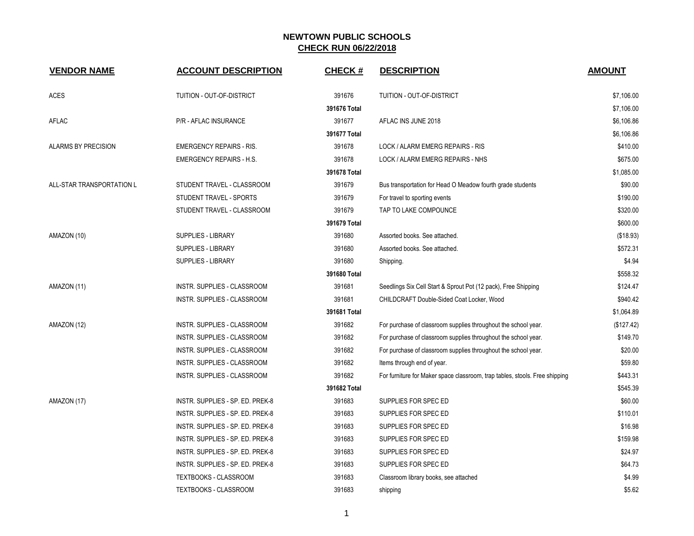| <b>VENDOR NAME</b>         | <b>ACCOUNT DESCRIPTION</b>         | <b>CHECK#</b> | <b>DESCRIPTION</b>                                                          | <b>AMOUNT</b> |
|----------------------------|------------------------------------|---------------|-----------------------------------------------------------------------------|---------------|
| <b>ACES</b>                | TUITION - OUT-OF-DISTRICT          | 391676        | TUITION - OUT-OF-DISTRICT                                                   | \$7,106.00    |
|                            |                                    | 391676 Total  |                                                                             | \$7,106.00    |
| AFLAC                      | P/R - AFLAC INSURANCE              | 391677        | AFLAC INS JUNE 2018                                                         | \$6,106.86    |
|                            |                                    | 391677 Total  |                                                                             | \$6,106.86    |
| <b>ALARMS BY PRECISION</b> | <b>EMERGENCY REPAIRS - RIS.</b>    | 391678        | LOCK / ALARM EMERG REPAIRS - RIS                                            | \$410.00      |
|                            | <b>EMERGENCY REPAIRS - H.S.</b>    | 391678        | LOCK / ALARM EMERG REPAIRS - NHS                                            | \$675.00      |
|                            |                                    | 391678 Total  |                                                                             | \$1,085.00    |
| ALL-STAR TRANSPORTATION L  | STUDENT TRAVEL - CLASSROOM         | 391679        | Bus transportation for Head O Meadow fourth grade students                  | \$90.00       |
|                            | STUDENT TRAVEL - SPORTS            | 391679        | For travel to sporting events                                               | \$190.00      |
|                            | STUDENT TRAVEL - CLASSROOM         | 391679        | TAP TO LAKE COMPOUNCE                                                       | \$320.00      |
|                            |                                    | 391679 Total  |                                                                             | \$600.00      |
| AMAZON (10)                | SUPPLIES - LIBRARY                 | 391680        | Assorted books. See attached.                                               | (\$18.93)     |
|                            | <b>SUPPLIES - LIBRARY</b>          | 391680        | Assorted books. See attached.                                               | \$572.31      |
|                            | <b>SUPPLIES - LIBRARY</b>          | 391680        | Shipping.                                                                   | \$4.94        |
|                            |                                    | 391680 Total  |                                                                             | \$558.32      |
| AMAZON (11)                | INSTR. SUPPLIES - CLASSROOM        | 391681        | Seedlings Six Cell Start & Sprout Pot (12 pack), Free Shipping              | \$124.47      |
|                            | <b>INSTR. SUPPLIES - CLASSROOM</b> | 391681        | CHILDCRAFT Double-Sided Coat Locker, Wood                                   | \$940.42      |
|                            |                                    | 391681 Total  |                                                                             | \$1,064.89    |
| AMAZON (12)                | INSTR. SUPPLIES - CLASSROOM        | 391682        | For purchase of classroom supplies throughout the school year.              | (\$127.42)    |
|                            | INSTR. SUPPLIES - CLASSROOM        | 391682        | For purchase of classroom supplies throughout the school year.              | \$149.70      |
|                            | INSTR. SUPPLIES - CLASSROOM        | 391682        | For purchase of classroom supplies throughout the school year.              | \$20.00       |
|                            | INSTR. SUPPLIES - CLASSROOM        | 391682        | Items through end of year.                                                  | \$59.80       |
|                            | INSTR. SUPPLIES - CLASSROOM        | 391682        | For furniture for Maker space classroom, trap tables, stools. Free shipping | \$443.31      |
|                            |                                    | 391682 Total  |                                                                             | \$545.39      |
| AMAZON (17)                | INSTR. SUPPLIES - SP. ED. PREK-8   | 391683        | SUPPLIES FOR SPEC ED                                                        | \$60.00       |
|                            | INSTR. SUPPLIES - SP. ED. PREK-8   | 391683        | SUPPLIES FOR SPEC ED                                                        | \$110.01      |
|                            | INSTR. SUPPLIES - SP. ED. PREK-8   | 391683        | SUPPLIES FOR SPEC ED                                                        | \$16.98       |
|                            | INSTR. SUPPLIES - SP. ED. PREK-8   | 391683        | SUPPLIES FOR SPEC ED                                                        | \$159.98      |
|                            | INSTR. SUPPLIES - SP. ED. PREK-8   | 391683        | SUPPLIES FOR SPEC ED                                                        | \$24.97       |
|                            | INSTR. SUPPLIES - SP. ED. PREK-8   | 391683        | SUPPLIES FOR SPEC ED                                                        | \$64.73       |
|                            | TEXTBOOKS - CLASSROOM              | 391683        | Classroom library books, see attached                                       | \$4.99        |
|                            | TEXTBOOKS - CLASSROOM              | 391683        | shipping                                                                    | \$5.62        |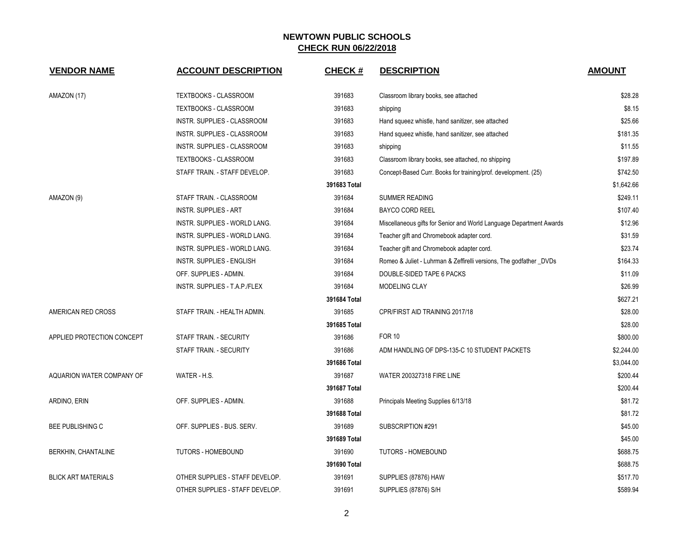| <b>VENDOR NAME</b>         | <b>ACCOUNT DESCRIPTION</b>       | <b>CHECK#</b> | <b>DESCRIPTION</b>                                                  | <b>AMOUNT</b> |
|----------------------------|----------------------------------|---------------|---------------------------------------------------------------------|---------------|
| AMAZON (17)                | TEXTBOOKS - CLASSROOM            | 391683        | Classroom library books, see attached                               | \$28.28       |
|                            | TEXTBOOKS - CLASSROOM            | 391683        | shipping                                                            | \$8.15        |
|                            | INSTR. SUPPLIES - CLASSROOM      | 391683        | Hand squeez whistle, hand sanitizer, see attached                   | \$25.66       |
|                            | INSTR. SUPPLIES - CLASSROOM      | 391683        | Hand squeez whistle, hand sanitizer, see attached                   | \$181.35      |
|                            | INSTR. SUPPLIES - CLASSROOM      | 391683        | shipping                                                            | \$11.55       |
|                            | TEXTBOOKS - CLASSROOM            | 391683        | Classroom library books, see attached, no shipping                  | \$197.89      |
|                            | STAFF TRAIN. - STAFF DEVELOP.    | 391683        | Concept-Based Curr. Books for training/prof. development. (25)      | \$742.50      |
|                            |                                  | 391683 Total  |                                                                     | \$1,642.66    |
| AMAZON (9)                 | STAFF TRAIN. - CLASSROOM         | 391684        | <b>SUMMER READING</b>                                               | \$249.11      |
|                            | <b>INSTR. SUPPLIES - ART</b>     | 391684        | <b>BAYCO CORD REEL</b>                                              | \$107.40      |
|                            | INSTR. SUPPLIES - WORLD LANG.    | 391684        | Miscellaneous gifts for Senior and World Language Department Awards | \$12.96       |
|                            | INSTR. SUPPLIES - WORLD LANG.    | 391684        | Teacher gift and Chromebook adapter cord.                           | \$31.59       |
|                            | INSTR. SUPPLIES - WORLD LANG.    | 391684        | Teacher gift and Chromebook adapter cord.                           | \$23.74       |
|                            | <b>INSTR. SUPPLIES - ENGLISH</b> | 391684        | Romeo & Juliet - Luhrman & Zeffirelli versions, The godfather _DVDs | \$164.33      |
|                            | OFF. SUPPLIES - ADMIN.           | 391684        | DOUBLE-SIDED TAPE 6 PACKS                                           | \$11.09       |
|                            | INSTR. SUPPLIES - T.A.P./FLEX    | 391684        | MODELING CLAY                                                       | \$26.99       |
|                            |                                  | 391684 Total  |                                                                     | \$627.21      |
| AMERICAN RED CROSS         | STAFF TRAIN. - HEALTH ADMIN.     | 391685        | CPR/FIRST AID TRAINING 2017/18                                      | \$28.00       |
|                            |                                  | 391685 Total  |                                                                     | \$28.00       |
| APPLIED PROTECTION CONCEPT | STAFF TRAIN. - SECURITY          | 391686        | <b>FOR 10</b>                                                       | \$800.00      |
|                            | STAFF TRAIN. - SECURITY          | 391686        | ADM HANDLING OF DPS-135-C 10 STUDENT PACKETS                        | \$2,244.00    |
|                            |                                  | 391686 Total  |                                                                     | \$3,044.00    |
| AQUARION WATER COMPANY OF  | WATER - H.S.                     | 391687        | <b>WATER 200327318 FIRE LINE</b>                                    | \$200.44      |
|                            |                                  | 391687 Total  |                                                                     | \$200.44      |
| ARDINO, ERIN               | OFF. SUPPLIES - ADMIN.           | 391688        | Principals Meeting Supplies 6/13/18                                 | \$81.72       |
|                            |                                  | 391688 Total  |                                                                     | \$81.72       |
| <b>BEE PUBLISHING C</b>    | OFF. SUPPLIES - BUS. SERV.       | 391689        | SUBSCRIPTION #291                                                   | \$45.00       |
|                            |                                  | 391689 Total  |                                                                     | \$45.00       |
| BERKHIN, CHANTALINE        | <b>TUTORS - HOMEBOUND</b>        | 391690        | <b>TUTORS - HOMEBOUND</b>                                           | \$688.75      |
|                            |                                  | 391690 Total  |                                                                     | \$688.75      |
| <b>BLICK ART MATERIALS</b> | OTHER SUPPLIES - STAFF DEVELOP.  | 391691        | SUPPLIES (87876) HAW                                                | \$517.70      |
|                            | OTHER SUPPLIES - STAFF DEVELOP.  | 391691        | SUPPLIES (87876) S/H                                                | \$589.94      |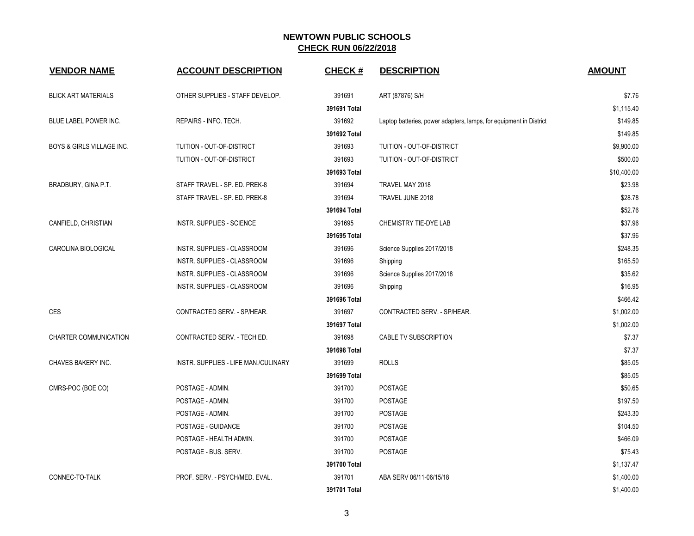| <b>VENDOR NAME</b>           | <b>ACCOUNT DESCRIPTION</b>           | <b>CHECK#</b> | <b>DESCRIPTION</b>                                                 | <b>AMOUNT</b> |
|------------------------------|--------------------------------------|---------------|--------------------------------------------------------------------|---------------|
| <b>BLICK ART MATERIALS</b>   | OTHER SUPPLIES - STAFF DEVELOP.      | 391691        | ART (87876) S/H                                                    | \$7.76        |
|                              |                                      | 391691 Total  |                                                                    | \$1,115.40    |
| BLUE LABEL POWER INC.        | REPAIRS - INFO. TECH.                | 391692        | Laptop batteries, power adapters, lamps, for equipment in District | \$149.85      |
|                              |                                      | 391692 Total  |                                                                    | \$149.85      |
| BOYS & GIRLS VILLAGE INC.    | TUITION - OUT-OF-DISTRICT            | 391693        | TUITION - OUT-OF-DISTRICT                                          | \$9,900.00    |
|                              | TUITION - OUT-OF-DISTRICT            | 391693        | <b>TUITION - OUT-OF-DISTRICT</b>                                   | \$500.00      |
|                              |                                      | 391693 Total  |                                                                    | \$10,400.00   |
| BRADBURY, GINA P.T.          | STAFF TRAVEL - SP. ED. PREK-8        | 391694        | TRAVEL MAY 2018                                                    | \$23.98       |
|                              | STAFF TRAVEL - SP. ED. PREK-8        | 391694        | TRAVEL JUNE 2018                                                   | \$28.78       |
|                              |                                      | 391694 Total  |                                                                    | \$52.76       |
| CANFIELD, CHRISTIAN          | INSTR. SUPPLIES - SCIENCE            | 391695        | CHEMISTRY TIE-DYE LAB                                              | \$37.96       |
|                              |                                      | 391695 Total  |                                                                    | \$37.96       |
| CAROLINA BIOLOGICAL          | INSTR. SUPPLIES - CLASSROOM          | 391696        | Science Supplies 2017/2018                                         | \$248.35      |
|                              | INSTR. SUPPLIES - CLASSROOM          | 391696        | Shipping                                                           | \$165.50      |
|                              | INSTR. SUPPLIES - CLASSROOM          | 391696        | Science Supplies 2017/2018                                         | \$35.62       |
|                              | INSTR. SUPPLIES - CLASSROOM          | 391696        | Shipping                                                           | \$16.95       |
|                              |                                      | 391696 Total  |                                                                    | \$466.42      |
| <b>CES</b>                   | CONTRACTED SERV. - SP/HEAR.          | 391697        | CONTRACTED SERV. - SP/HEAR.                                        | \$1,002.00    |
|                              |                                      | 391697 Total  |                                                                    | \$1,002.00    |
| <b>CHARTER COMMUNICATION</b> | CONTRACTED SERV. - TECH ED.          | 391698        | CABLE TV SUBSCRIPTION                                              | \$7.37        |
|                              |                                      | 391698 Total  |                                                                    | \$7.37        |
| CHAVES BAKERY INC.           | INSTR. SUPPLIES - LIFE MAN./CULINARY | 391699        | <b>ROLLS</b>                                                       | \$85.05       |
|                              |                                      | 391699 Total  |                                                                    | \$85.05       |
| CMRS-POC (BOE CO)            | POSTAGE - ADMIN.                     | 391700        | <b>POSTAGE</b>                                                     | \$50.65       |
|                              | POSTAGE - ADMIN.                     | 391700        | POSTAGE                                                            | \$197.50      |
|                              | POSTAGE - ADMIN.                     | 391700        | <b>POSTAGE</b>                                                     | \$243.30      |
|                              | POSTAGE - GUIDANCE                   | 391700        | <b>POSTAGE</b>                                                     | \$104.50      |
|                              | POSTAGE - HEALTH ADMIN.              | 391700        | POSTAGE                                                            | \$466.09      |
|                              | POSTAGE - BUS. SERV.                 | 391700        | POSTAGE                                                            | \$75.43       |
|                              |                                      | 391700 Total  |                                                                    | \$1,137.47    |
| CONNEC-TO-TALK               | PROF. SERV. - PSYCH/MED. EVAL.       | 391701        | ABA SERV 06/11-06/15/18                                            | \$1,400.00    |
|                              |                                      | 391701 Total  |                                                                    | \$1,400.00    |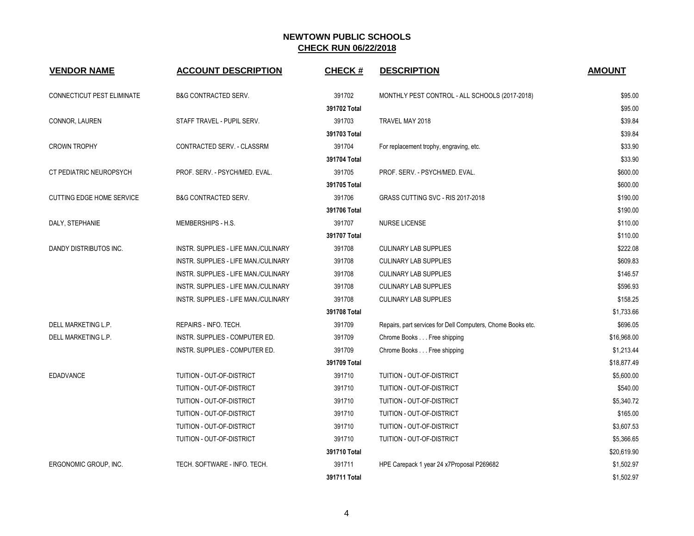| <b>VENDOR NAME</b>               | <b>ACCOUNT DESCRIPTION</b>           | <b>CHECK#</b> | <b>DESCRIPTION</b>                                          | <b>AMOUNT</b> |
|----------------------------------|--------------------------------------|---------------|-------------------------------------------------------------|---------------|
| CONNECTICUT PEST ELIMINATE       | <b>B&amp;G CONTRACTED SERV.</b>      | 391702        | MONTHLY PEST CONTROL - ALL SCHOOLS (2017-2018)              | \$95.00       |
|                                  |                                      | 391702 Total  |                                                             | \$95.00       |
| CONNOR, LAUREN                   | STAFF TRAVEL - PUPIL SERV.           | 391703        | TRAVEL MAY 2018                                             | \$39.84       |
|                                  |                                      | 391703 Total  |                                                             | \$39.84       |
| <b>CROWN TROPHY</b>              | CONTRACTED SERV. - CLASSRM           | 391704        | For replacement trophy, engraving, etc.                     | \$33.90       |
|                                  |                                      | 391704 Total  |                                                             | \$33.90       |
| CT PEDIATRIC NEUROPSYCH          | PROF. SERV. - PSYCH/MED. EVAL.       | 391705        | PROF. SERV. - PSYCH/MED. EVAL.                              | \$600.00      |
|                                  |                                      | 391705 Total  |                                                             | \$600.00      |
| <b>CUTTING EDGE HOME SERVICE</b> | <b>B&amp;G CONTRACTED SERV.</b>      | 391706        | GRASS CUTTING SVC - RIS 2017-2018                           | \$190.00      |
|                                  |                                      | 391706 Total  |                                                             | \$190.00      |
| DALY, STEPHANIE                  | MEMBERSHIPS - H.S.                   | 391707        | <b>NURSE LICENSE</b>                                        | \$110.00      |
|                                  |                                      | 391707 Total  |                                                             | \$110.00      |
| DANDY DISTRIBUTOS INC.           | INSTR. SUPPLIES - LIFE MAN./CULINARY | 391708        | <b>CULINARY LAB SUPPLIES</b>                                | \$222.08      |
|                                  | INSTR. SUPPLIES - LIFE MAN./CULINARY | 391708        | <b>CULINARY LAB SUPPLIES</b>                                | \$609.83      |
|                                  | INSTR. SUPPLIES - LIFE MAN./CULINARY | 391708        | <b>CULINARY LAB SUPPLIES</b>                                | \$146.57      |
|                                  | INSTR. SUPPLIES - LIFE MAN./CULINARY | 391708        | <b>CULINARY LAB SUPPLIES</b>                                | \$596.93      |
|                                  | INSTR. SUPPLIES - LIFE MAN./CULINARY | 391708        | <b>CULINARY LAB SUPPLIES</b>                                | \$158.25      |
|                                  |                                      | 391708 Total  |                                                             | \$1,733.66    |
| DELL MARKETING L.P.              | REPAIRS - INFO. TECH.                | 391709        | Repairs, part services for Dell Computers, Chome Books etc. | \$696.05      |
| DELL MARKETING L.P.              | INSTR. SUPPLIES - COMPUTER ED.       | 391709        | Chrome Books Free shipping                                  | \$16,968.00   |
|                                  | INSTR. SUPPLIES - COMPUTER ED.       | 391709        | Chrome Books Free shipping                                  | \$1,213.44    |
|                                  |                                      | 391709 Total  |                                                             | \$18,877.49   |
| <b>EDADVANCE</b>                 | TUITION - OUT-OF-DISTRICT            | 391710        | TUITION - OUT-OF-DISTRICT                                   | \$5,600.00    |
|                                  | TUITION - OUT-OF-DISTRICT            | 391710        | TUITION - OUT-OF-DISTRICT                                   | \$540.00      |
|                                  | TUITION - OUT-OF-DISTRICT            | 391710        | TUITION - OUT-OF-DISTRICT                                   | \$5,340.72    |
|                                  | TUITION - OUT-OF-DISTRICT            | 391710        | TUITION - OUT-OF-DISTRICT                                   | \$165.00      |
|                                  | TUITION - OUT-OF-DISTRICT            | 391710        | TUITION - OUT-OF-DISTRICT                                   | \$3,607.53    |
|                                  | TUITION - OUT-OF-DISTRICT            | 391710        | TUITION - OUT-OF-DISTRICT                                   | \$5,366.65    |
|                                  |                                      | 391710 Total  |                                                             | \$20,619.90   |
| ERGONOMIC GROUP, INC.            | TECH. SOFTWARE - INFO. TECH.         | 391711        | HPE Carepack 1 year 24 x7Proposal P269682                   | \$1,502.97    |
|                                  |                                      | 391711 Total  |                                                             | \$1,502.97    |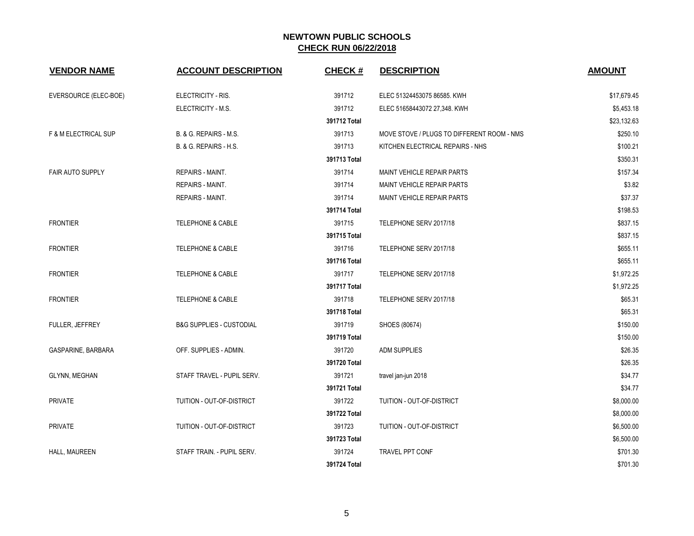| <b>VENDOR NAME</b>      | <b>ACCOUNT DESCRIPTION</b>          | <b>CHECK#</b> | <b>DESCRIPTION</b>                         | <b>AMOUNT</b> |
|-------------------------|-------------------------------------|---------------|--------------------------------------------|---------------|
| EVERSOURCE (ELEC-BOE)   | ELECTRICITY - RIS.                  | 391712        | ELEC 51324453075 86585. KWH                | \$17,679.45   |
|                         | ELECTRICITY - M.S.                  | 391712        | ELEC 51658443072 27,348. KWH               | \$5,453.18    |
|                         |                                     | 391712 Total  |                                            | \$23,132.63   |
| F & M ELECTRICAL SUP    | B. & G. REPAIRS - M.S.              | 391713        | MOVE STOVE / PLUGS TO DIFFERENT ROOM - NMS | \$250.10      |
|                         | B. & G. REPAIRS - H.S.              | 391713        | KITCHEN ELECTRICAL REPAIRS - NHS           | \$100.21      |
|                         |                                     | 391713 Total  |                                            | \$350.31      |
| <b>FAIR AUTO SUPPLY</b> | REPAIRS - MAINT.                    | 391714        | MAINT VEHICLE REPAIR PARTS                 | \$157.34      |
|                         | REPAIRS - MAINT.                    | 391714        | MAINT VEHICLE REPAIR PARTS                 | \$3.82        |
|                         | REPAIRS - MAINT.                    | 391714        | MAINT VEHICLE REPAIR PARTS                 | \$37.37       |
|                         |                                     | 391714 Total  |                                            | \$198.53      |
| <b>FRONTIER</b>         | <b>TELEPHONE &amp; CABLE</b>        | 391715        | TELEPHONE SERV 2017/18                     | \$837.15      |
|                         |                                     | 391715 Total  |                                            | \$837.15      |
| <b>FRONTIER</b>         | <b>TELEPHONE &amp; CABLE</b>        | 391716        | TELEPHONE SERV 2017/18                     | \$655.11      |
|                         |                                     | 391716 Total  |                                            | \$655.11      |
| <b>FRONTIER</b>         | <b>TELEPHONE &amp; CABLE</b>        | 391717        | TELEPHONE SERV 2017/18                     | \$1,972.25    |
|                         |                                     | 391717 Total  |                                            | \$1,972.25    |
| <b>FRONTIER</b>         | <b>TELEPHONE &amp; CABLE</b>        | 391718        | TELEPHONE SERV 2017/18                     | \$65.31       |
|                         |                                     | 391718 Total  |                                            | \$65.31       |
| FULLER, JEFFREY         | <b>B&amp;G SUPPLIES - CUSTODIAL</b> | 391719        | SHOES (80674)                              | \$150.00      |
|                         |                                     | 391719 Total  |                                            | \$150.00      |
| GASPARINE, BARBARA      | OFF. SUPPLIES - ADMIN.              | 391720        | ADM SUPPLIES                               | \$26.35       |
|                         |                                     | 391720 Total  |                                            | \$26.35       |
| <b>GLYNN, MEGHAN</b>    | STAFF TRAVEL - PUPIL SERV.          | 391721        | travel jan-jun 2018                        | \$34.77       |
|                         |                                     | 391721 Total  |                                            | \$34.77       |
| <b>PRIVATE</b>          | TUITION - OUT-OF-DISTRICT           | 391722        | TUITION - OUT-OF-DISTRICT                  | \$8,000.00    |
|                         |                                     | 391722 Total  |                                            | \$8,000.00    |
| <b>PRIVATE</b>          | TUITION - OUT-OF-DISTRICT           | 391723        | TUITION - OUT-OF-DISTRICT                  | \$6,500.00    |
|                         |                                     | 391723 Total  |                                            | \$6,500.00    |
| HALL, MAUREEN           | STAFF TRAIN. - PUPIL SERV.          | 391724        | <b>TRAVEL PPT CONF</b>                     | \$701.30      |
|                         |                                     | 391724 Total  |                                            | \$701.30      |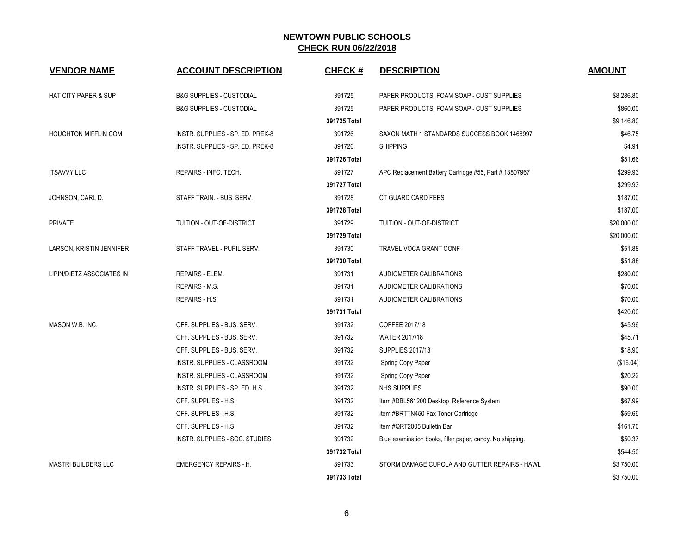| <b>VENDOR NAME</b>              | <b>ACCOUNT DESCRIPTION</b>          | <b>CHECK#</b> | <b>DESCRIPTION</b>                                        | <b>AMOUNT</b> |
|---------------------------------|-------------------------------------|---------------|-----------------------------------------------------------|---------------|
| <b>HAT CITY PAPER &amp; SUP</b> | <b>B&amp;G SUPPLIES - CUSTODIAL</b> | 391725        | PAPER PRODUCTS, FOAM SOAP - CUST SUPPLIES                 | \$8,286.80    |
|                                 | <b>B&amp;G SUPPLIES - CUSTODIAL</b> | 391725        | PAPER PRODUCTS, FOAM SOAP - CUST SUPPLIES                 | \$860.00      |
|                                 |                                     | 391725 Total  |                                                           | \$9,146.80    |
| <b>HOUGHTON MIFFLIN COM</b>     | INSTR. SUPPLIES - SP. ED. PREK-8    | 391726        | SAXON MATH 1 STANDARDS SUCCESS BOOK 1466997               | \$46.75       |
|                                 | INSTR. SUPPLIES - SP. ED. PREK-8    | 391726        | <b>SHIPPING</b>                                           | \$4.91        |
|                                 |                                     | 391726 Total  |                                                           | \$51.66       |
| <b>ITSAVVY LLC</b>              | REPAIRS - INFO. TECH.               | 391727        | APC Replacement Battery Cartridge #55, Part # 13807967    | \$299.93      |
|                                 |                                     | 391727 Total  |                                                           | \$299.93      |
| JOHNSON, CARL D.                | STAFF TRAIN. - BUS. SERV.           | 391728        | CT GUARD CARD FEES                                        | \$187.00      |
|                                 |                                     | 391728 Total  |                                                           | \$187.00      |
| <b>PRIVATE</b>                  | TUITION - OUT-OF-DISTRICT           | 391729        | TUITION - OUT-OF-DISTRICT                                 | \$20,000.00   |
|                                 |                                     | 391729 Total  |                                                           | \$20,000.00   |
| LARSON, KRISTIN JENNIFER        | STAFF TRAVEL - PUPIL SERV.          | 391730        | TRAVEL VOCA GRANT CONF                                    | \$51.88       |
|                                 |                                     | 391730 Total  |                                                           | \$51.88       |
| LIPIN/DIETZ ASSOCIATES IN       | REPAIRS - ELEM.                     | 391731        | AUDIOMETER CALIBRATIONS                                   | \$280.00      |
|                                 | <b>REPAIRS - M.S.</b>               | 391731        | AUDIOMETER CALIBRATIONS                                   | \$70.00       |
|                                 | REPAIRS - H.S.                      | 391731        | AUDIOMETER CALIBRATIONS                                   | \$70.00       |
|                                 |                                     | 391731 Total  |                                                           | \$420.00      |
| MASON W.B. INC.                 | OFF. SUPPLIES - BUS. SERV.          | 391732        | COFFEE 2017/18                                            | \$45.96       |
|                                 | OFF. SUPPLIES - BUS. SERV.          | 391732        | <b>WATER 2017/18</b>                                      | \$45.71       |
|                                 | OFF. SUPPLIES - BUS. SERV.          | 391732        | <b>SUPPLIES 2017/18</b>                                   | \$18.90       |
|                                 | INSTR. SUPPLIES - CLASSROOM         | 391732        | Spring Copy Paper                                         | (\$16.04)     |
|                                 | INSTR. SUPPLIES - CLASSROOM         | 391732        | Spring Copy Paper                                         | \$20.22       |
|                                 | INSTR. SUPPLIES - SP. ED. H.S.      | 391732        | NHS SUPPLIES                                              | \$90.00       |
|                                 | OFF. SUPPLIES - H.S.                | 391732        | Item #DBL561200 Desktop Reference System                  | \$67.99       |
|                                 | OFF. SUPPLIES - H.S.                | 391732        | Item #BRTTN450 Fax Toner Cartridge                        | \$59.69       |
|                                 | OFF. SUPPLIES - H.S.                | 391732        | Item #QRT2005 Bulletin Bar                                | \$161.70      |
|                                 | INSTR. SUPPLIES - SOC. STUDIES      | 391732        | Blue examination books, filler paper, candy. No shipping. | \$50.37       |
|                                 |                                     | 391732 Total  |                                                           | \$544.50      |
| <b>MASTRI BUILDERS LLC</b>      | <b>EMERGENCY REPAIRS - H.</b>       | 391733        | STORM DAMAGE CUPOLA AND GUTTER REPAIRS - HAWL             | \$3,750.00    |
|                                 |                                     | 391733 Total  |                                                           | \$3,750.00    |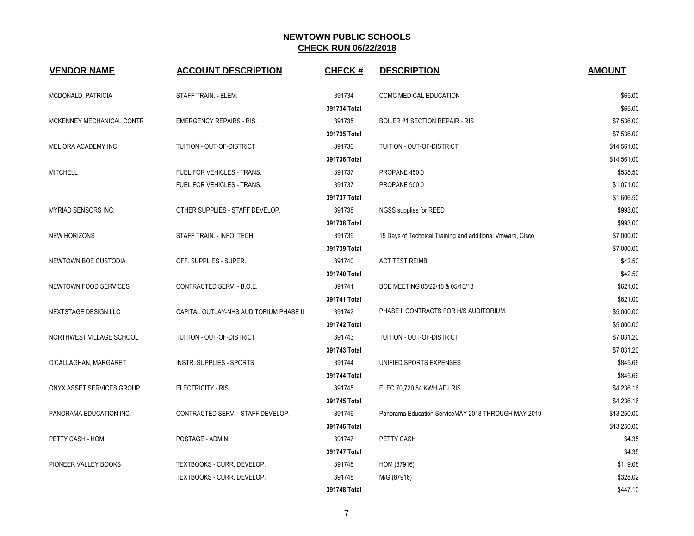| <b>VENDOR NAME</b>        | <b>ACCOUNT DESCRIPTION</b>             | <b>CHECK#</b> | <b>DESCRIPTION</b>                                         | <b>AMOUNT</b> |
|---------------------------|----------------------------------------|---------------|------------------------------------------------------------|---------------|
| MCDONALD, PATRICIA        | STAFF TRAIN. - ELEM.                   | 391734        | CCMC MEDICAL EDUCATION                                     | \$65.00       |
|                           |                                        | 391734 Total  |                                                            | \$65.00       |
| MCKENNEY MECHANICAL CONTR | <b>EMERGENCY REPAIRS - RIS.</b>        | 391735        | <b>BOILER #1 SECTION REPAIR - RIS</b>                      | \$7,536.00    |
|                           |                                        | 391735 Total  |                                                            | \$7,536.00    |
| MELIORA ACADEMY INC.      | TUITION - OUT-OF-DISTRICT              | 391736        | TUITION - OUT-OF-DISTRICT                                  | \$14,561.00   |
|                           |                                        | 391736 Total  |                                                            | \$14,561.00   |
| <b>MITCHELL</b>           | FUEL FOR VEHICLES - TRANS.             | 391737        | PROPANE 450.0                                              | \$535.50      |
|                           | FUEL FOR VEHICLES - TRANS.             | 391737        | PROPANE 900.0                                              | \$1,071.00    |
|                           |                                        | 391737 Total  |                                                            | \$1,606.50    |
| MYRIAD SENSORS INC.       | OTHER SUPPLIES - STAFF DEVELOP.        | 391738        | NGSS supplies for REED                                     | \$993.00      |
|                           |                                        | 391738 Total  |                                                            | \$993.00      |
| <b>NEW HORIZONS</b>       | STAFF TRAIN. - INFO. TECH.             | 391739        | 15 Days of Technical Training and additional Vmware, Cisco | \$7,000.00    |
|                           |                                        | 391739 Total  |                                                            | \$7,000.00    |
| NEWTOWN BOE CUSTODIA      | OFF. SUPPLIES - SUPER.                 | 391740        | <b>ACT TEST REIMB</b>                                      | \$42.50       |
|                           |                                        | 391740 Total  |                                                            | \$42.50       |
| NEWTOWN FOOD SERVICES     | CONTRACTED SERV. - B.O.E.              | 391741        | BOE MEETING 05/22/18 & 05/15/18                            | \$621.00      |
|                           |                                        | 391741 Total  |                                                            | \$621.00      |
| NEXTSTAGE DESIGN LLC      | CAPITAL OUTLAY-NHS AUDITORIUM PHASE II | 391742        | PHASE II CONTRACTS FOR H/S AUDITORIUM.                     | \$5,000.00    |
|                           |                                        | 391742 Total  |                                                            | \$5,000.00    |
| NORTHWEST VILLAGE SCHOOL  | TUITION - OUT-OF-DISTRICT              | 391743        | TUITION - OUT-OF-DISTRICT                                  | \$7,031.20    |
|                           |                                        | 391743 Total  |                                                            | \$7,031.20    |
| O'CALLAGHAN, MARGARET     | <b>INSTR. SUPPLIES - SPORTS</b>        | 391744        | UNIFIED SPORTS EXPENSES                                    | \$845.66      |
|                           |                                        | 391744 Total  |                                                            | \$845.66      |
| ONYX ASSET SERVICES GROUP | ELECTRICITY - RIS.                     | 391745        | ELEC 70,720.54 KWH ADJ RIS                                 | \$4,236.16    |
|                           |                                        | 391745 Total  |                                                            | \$4,236.16    |
| PANORAMA EDUCATION INC.   | CONTRACTED SERV. - STAFF DEVELOP.      | 391746        | Panorama Education ServiceMAY 2018 THROUGH MAY 2019        | \$13,250.00   |
|                           |                                        | 391746 Total  |                                                            | \$13,250.00   |
| PETTY CASH - HOM          | POSTAGE - ADMIN.                       | 391747        | PETTY CASH                                                 | \$4.35        |
|                           |                                        | 391747 Total  |                                                            | \$4.35        |
| PIONEER VALLEY BOOKS      | TEXTBOOKS - CURR. DEVELOP.             | 391748        | HOM (87916)                                                | \$119.08      |
|                           | TEXTBOOKS - CURR. DEVELOP.             | 391748        | M/G (87916)                                                | \$328.02      |
|                           |                                        | 391748 Total  |                                                            | \$447.10      |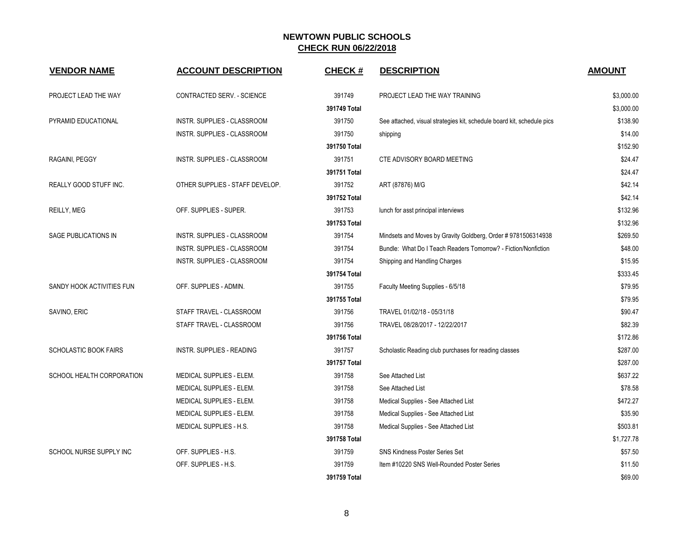| <b>VENDOR NAME</b>           | <b>ACCOUNT DESCRIPTION</b>       | <b>CHECK#</b> | <b>DESCRIPTION</b>                                                     | <b>AMOUNT</b> |
|------------------------------|----------------------------------|---------------|------------------------------------------------------------------------|---------------|
| PROJECT LEAD THE WAY         | CONTRACTED SERV. - SCIENCE       | 391749        | PROJECT LEAD THE WAY TRAINING                                          | \$3,000.00    |
|                              |                                  | 391749 Total  |                                                                        | \$3,000.00    |
| PYRAMID EDUCATIONAL          | INSTR. SUPPLIES - CLASSROOM      | 391750        | See attached, visual strategies kit, schedule board kit, schedule pics | \$138.90      |
|                              | INSTR. SUPPLIES - CLASSROOM      | 391750        | shipping                                                               | \$14.00       |
|                              |                                  | 391750 Total  |                                                                        | \$152.90      |
| RAGAINI, PEGGY               | INSTR. SUPPLIES - CLASSROOM      | 391751        | CTE ADVISORY BOARD MEETING                                             | \$24.47       |
|                              |                                  | 391751 Total  |                                                                        | \$24.47       |
| REALLY GOOD STUFF INC.       | OTHER SUPPLIES - STAFF DEVELOP.  | 391752        | ART (87876) M/G                                                        | \$42.14       |
|                              |                                  | 391752 Total  |                                                                        | \$42.14       |
| REILLY, MEG                  | OFF. SUPPLIES - SUPER.           | 391753        | lunch for asst principal interviews                                    | \$132.96      |
|                              |                                  | 391753 Total  |                                                                        | \$132.96      |
| SAGE PUBLICATIONS IN         | INSTR. SUPPLIES - CLASSROOM      | 391754        | Mindsets and Moves by Gravity Goldberg, Order # 9781506314938          | \$269.50      |
|                              | INSTR. SUPPLIES - CLASSROOM      | 391754        | Bundle: What Do I Teach Readers Tomorrow? - Fiction/Nonfiction         | \$48.00       |
|                              | INSTR. SUPPLIES - CLASSROOM      | 391754        | Shipping and Handling Charges                                          | \$15.95       |
|                              |                                  | 391754 Total  |                                                                        | \$333.45      |
| SANDY HOOK ACTIVITIES FUN    | OFF. SUPPLIES - ADMIN.           | 391755        | Faculty Meeting Supplies - 6/5/18                                      | \$79.95       |
|                              |                                  | 391755 Total  |                                                                        | \$79.95       |
| SAVINO, ERIC                 | STAFF TRAVEL - CLASSROOM         | 391756        | TRAVEL 01/02/18 - 05/31/18                                             | \$90.47       |
|                              | STAFF TRAVEL - CLASSROOM         | 391756        | TRAVEL 08/28/2017 - 12/22/2017                                         | \$82.39       |
|                              |                                  | 391756 Total  |                                                                        | \$172.86      |
| <b>SCHOLASTIC BOOK FAIRS</b> | <b>INSTR. SUPPLIES - READING</b> | 391757        | Scholastic Reading club purchases for reading classes                  | \$287.00      |
|                              |                                  | 391757 Total  |                                                                        | \$287.00      |
| SCHOOL HEALTH CORPORATION    | MEDICAL SUPPLIES - ELEM.         | 391758        | See Attached List                                                      | \$637.22      |
|                              | MEDICAL SUPPLIES - ELEM.         | 391758        | See Attached List                                                      | \$78.58       |
|                              | MEDICAL SUPPLIES - ELEM.         | 391758        | Medical Supplies - See Attached List                                   | \$472.27      |
|                              | MEDICAL SUPPLIES - ELEM.         | 391758        | Medical Supplies - See Attached List                                   | \$35.90       |
|                              | MEDICAL SUPPLIES - H.S.          | 391758        | Medical Supplies - See Attached List                                   | \$503.81      |
|                              |                                  | 391758 Total  |                                                                        | \$1,727.78    |
| SCHOOL NURSE SUPPLY INC      | OFF. SUPPLIES - H.S.             | 391759        | <b>SNS Kindness Poster Series Set</b>                                  | \$57.50       |
|                              | OFF. SUPPLIES - H.S.             | 391759        | Item #10220 SNS Well-Rounded Poster Series                             | \$11.50       |
|                              |                                  | 391759 Total  |                                                                        | \$69.00       |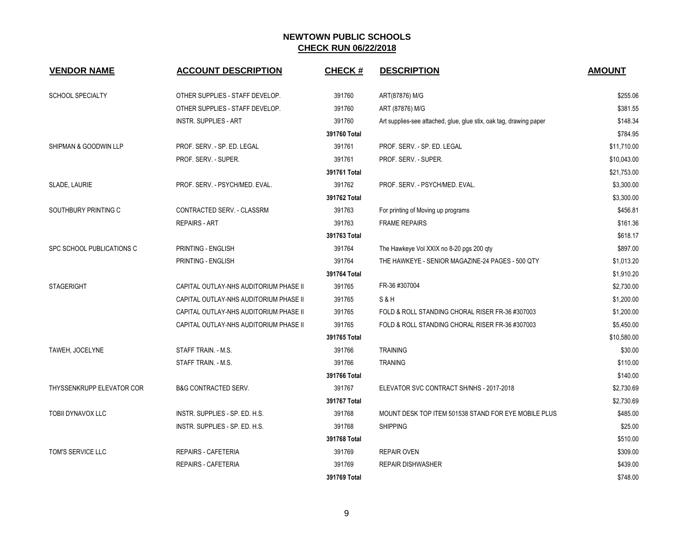| <b>VENDOR NAME</b>        | <b>ACCOUNT DESCRIPTION</b>             | <b>CHECK#</b> | <b>DESCRIPTION</b>                                                 | <b>AMOUNT</b> |
|---------------------------|----------------------------------------|---------------|--------------------------------------------------------------------|---------------|
| <b>SCHOOL SPECIALTY</b>   | OTHER SUPPLIES - STAFF DEVELOP.        | 391760        | ART(87876) M/G                                                     | \$255.06      |
|                           | OTHER SUPPLIES - STAFF DEVELOP.        | 391760        | ART (87876) M/G                                                    | \$381.55      |
|                           | <b>INSTR. SUPPLIES - ART</b>           | 391760        | Art supplies-see attached, glue, glue stix, oak tag, drawing paper | \$148.34      |
|                           |                                        | 391760 Total  |                                                                    | \$784.95      |
| SHIPMAN & GOODWIN LLP     | PROF. SERV. - SP. ED. LEGAL            | 391761        | PROF. SERV. - SP. ED. LEGAL                                        | \$11,710.00   |
|                           | PROF. SERV. - SUPER.                   | 391761        | PROF. SERV. - SUPER.                                               | \$10,043.00   |
|                           |                                        | 391761 Total  |                                                                    | \$21,753.00   |
| SLADE, LAURIE             | PROF. SERV. - PSYCH/MED. EVAL.         | 391762        | PROF. SERV. - PSYCH/MED. EVAL.                                     | \$3,300.00    |
|                           |                                        | 391762 Total  |                                                                    | \$3,300.00    |
| SOUTHBURY PRINTING C      | CONTRACTED SERV. - CLASSRM             | 391763        | For printing of Moving up programs                                 | \$456.81      |
|                           | <b>REPAIRS - ART</b>                   | 391763        | <b>FRAME REPAIRS</b>                                               | \$161.36      |
|                           |                                        | 391763 Total  |                                                                    | \$618.17      |
| SPC SCHOOL PUBLICATIONS C | PRINTING - ENGLISH                     | 391764        | The Hawkeye Vol XXIX no 8-20 pgs 200 qty                           | \$897.00      |
|                           | PRINTING - ENGLISH                     | 391764        | THE HAWKEYE - SENIOR MAGAZINE-24 PAGES - 500 QTY                   | \$1,013.20    |
|                           |                                        | 391764 Total  |                                                                    | \$1,910.20    |
| <b>STAGERIGHT</b>         | CAPITAL OUTLAY-NHS AUDITORIUM PHASE II | 391765        | FR-36 #307004                                                      | \$2,730.00    |
|                           | CAPITAL OUTLAY-NHS AUDITORIUM PHASE II | 391765        | S&H                                                                | \$1,200.00    |
|                           | CAPITAL OUTLAY-NHS AUDITORIUM PHASE II | 391765        | FOLD & ROLL STANDING CHORAL RISER FR-36 #307003                    | \$1,200.00    |
|                           | CAPITAL OUTLAY-NHS AUDITORIUM PHASE II | 391765        | FOLD & ROLL STANDING CHORAL RISER FR-36 #307003                    | \$5,450.00    |
|                           |                                        | 391765 Total  |                                                                    | \$10,580.00   |
| TAWEH, JOCELYNE           | STAFF TRAIN. - M.S.                    | 391766        | <b>TRAINING</b>                                                    | \$30.00       |
|                           | STAFF TRAIN. - M.S.                    | 391766        | <b>TRANING</b>                                                     | \$110.00      |
|                           |                                        | 391766 Total  |                                                                    | \$140.00      |
| THYSSENKRUPP ELEVATOR COR | <b>B&amp;G CONTRACTED SERV.</b>        | 391767        | ELEVATOR SVC CONTRACT SH/NHS - 2017-2018                           | \$2,730.69    |
|                           |                                        | 391767 Total  |                                                                    | \$2,730.69    |
| TOBII DYNAVOX LLC         | INSTR. SUPPLIES - SP. ED. H.S.         | 391768        | MOUNT DESK TOP ITEM 501538 STAND FOR EYE MOBILE PLUS               | \$485.00      |
|                           | INSTR. SUPPLIES - SP. ED. H.S.         | 391768        | <b>SHIPPING</b>                                                    | \$25.00       |
|                           |                                        | 391768 Total  |                                                                    | \$510.00      |
| TOM'S SERVICE LLC         | <b>REPAIRS - CAFETERIA</b>             | 391769        | <b>REPAIR OVEN</b>                                                 | \$309.00      |
|                           | <b>REPAIRS - CAFETERIA</b>             | 391769        | <b>REPAIR DISHWASHER</b>                                           | \$439.00      |
|                           |                                        | 391769 Total  |                                                                    | \$748.00      |